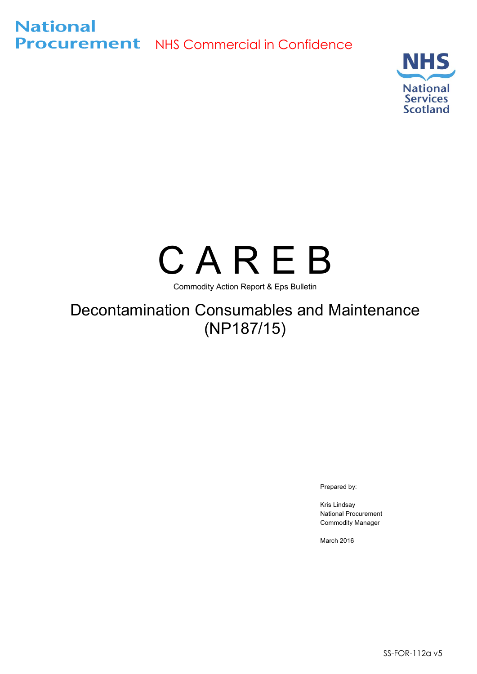**National Procurement** NHS Commercial in Confidence



# C A R E B

Commodity Action Report & Eps Bulletin

## Decontamination Consumables and Maintenance (NP187/15)

Prepared by:

Kris Lindsay National Procurement Commodity Manager

March 2016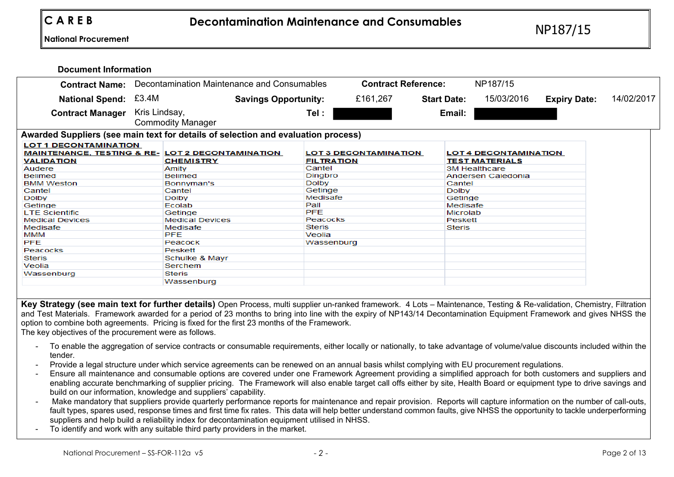#### **Document Information**

|                                                                                                                  |               |                          | <b>Contract Name:</b> Decontamination Maintenance and Consumables |                   |                              | <b>Contract Reference:</b> |               | NP187/15                                              |                     |            |
|------------------------------------------------------------------------------------------------------------------|---------------|--------------------------|-------------------------------------------------------------------|-------------------|------------------------------|----------------------------|---------------|-------------------------------------------------------|---------------------|------------|
| <b>National Spend: £3.4M</b>                                                                                     |               |                          | <b>Savings Opportunity:</b>                                       |                   | £161,267                     | <b>Start Date:</b>         |               | 15/03/2016                                            | <b>Expiry Date:</b> | 14/02/2017 |
| <b>Contract Manager</b>                                                                                          | Kris Lindsay, | <b>Commodity Manager</b> |                                                                   | Tel :             |                              |                            | Email:        |                                                       |                     |            |
| Awarded Suppliers (see main text for details of selection and evaluation process)                                |               |                          |                                                                   |                   |                              |                            |               |                                                       |                     |            |
| <b>LOT 1 DECONTAMINATION</b><br><b>MAINTENANCE, TESTING &amp; RE- LOT 2 DECONTAMINATION</b><br><b>VALIDATION</b> |               | <b>CHEMISTRY</b>         |                                                                   | <b>FILTRATION</b> | <b>LOT 3 DECONTAMINATION</b> |                            |               | <b>LOT 4 DECONTAMINATION</b><br><b>TEST MATERIALS</b> |                     |            |
| Audere                                                                                                           |               | Amity                    |                                                                   | Cantel            |                              |                            |               | 3M Healthcare                                         |                     |            |
| <b>Belimed</b>                                                                                                   |               | <b>Belimed</b>           |                                                                   | Dingbro           |                              |                            |               | Andersen Caledonia                                    |                     |            |
| <b>BMM Weston</b>                                                                                                |               | Bonnyman's               |                                                                   | Dolby             |                              |                            | Cantel        |                                                       |                     |            |
| Cantel                                                                                                           |               | Cantel                   |                                                                   | Getinge           |                              |                            | <b>Dolby</b>  |                                                       |                     |            |
| <b>Dolby</b>                                                                                                     |               | <b>Dolby</b>             |                                                                   | Medisafe          |                              |                            | Getinge       |                                                       |                     |            |
| Getinge                                                                                                          |               | Ecolab                   |                                                                   | Pall              |                              |                            | Medisafe      |                                                       |                     |            |
| <b>LTE Scientific</b>                                                                                            |               | Getinge                  |                                                                   | <b>PFE</b>        |                              |                            | Microlab      |                                                       |                     |            |
| <b>Medical Devices</b>                                                                                           |               | <b>Medical Devices</b>   |                                                                   | Peacocks          |                              |                            | Peskett       |                                                       |                     |            |
| Medisafe                                                                                                         |               | Medisafe                 |                                                                   | <b>Steris</b>     |                              |                            | <b>Steris</b> |                                                       |                     |            |
| MMM                                                                                                              |               | <b>PFE</b>               |                                                                   | Veolia            |                              |                            |               |                                                       |                     |            |
| <b>PFE</b>                                                                                                       |               | Peacock                  |                                                                   | Wassenburg        |                              |                            |               |                                                       |                     |            |
| Peacocks                                                                                                         |               | Peskett                  |                                                                   |                   |                              |                            |               |                                                       |                     |            |
| <b>Steris</b>                                                                                                    |               | Schulke & Mayr           |                                                                   |                   |                              |                            |               |                                                       |                     |            |
| Veolia                                                                                                           |               | Serchem                  |                                                                   |                   |                              |                            |               |                                                       |                     |            |
| Wassenburg                                                                                                       |               | <b>Steris</b>            |                                                                   |                   |                              |                            |               |                                                       |                     |            |
|                                                                                                                  |               | Wassenburg               |                                                                   |                   |                              |                            |               |                                                       |                     |            |

**Key Strategy (see main text for further details)** Open Process, multi supplier un-ranked framework. 4 Lots – Maintenance, Testing & Re-validation, Chemistry, Filtration and Test Materials. Framework awarded for a period of 23 months to bring into line with the expiry of NP143/14 Decontamination Equipment Framework and gives NHSS the option to combine both agreements. Pricing is fixed for the first 23 months of the Framework.

The key objectives of the procurement were as follows.

- To enable the aggregation of service contracts or consumable requirements, either locally or nationally, to take advantage of volume/value discounts included within the tender.
- Provide a legal structure under which service agreements can be renewed on an annual basis whilst complying with EU procurement regulations.
- Ensure all maintenance and consumable options are covered under one Framework Agreement providing a simplified approach for both customers and suppliers and enabling accurate benchmarking of supplier pricing. The Framework will also enable target call offs either by site, Health Board or equipment type to drive savings and build on our information, knowledge and suppliers' capability.
- Make mandatory that suppliers provide quarterly performance reports for maintenance and repair provision. Reports will capture information on the number of call-outs, fault types, spares used, response times and first time fix rates. This data will help better understand common faults, give NHSS the opportunity to tackle underperforming suppliers and help build a reliability index for decontamination equipment utilised in NHSS.
- To identify and work with any suitable third party providers in the market.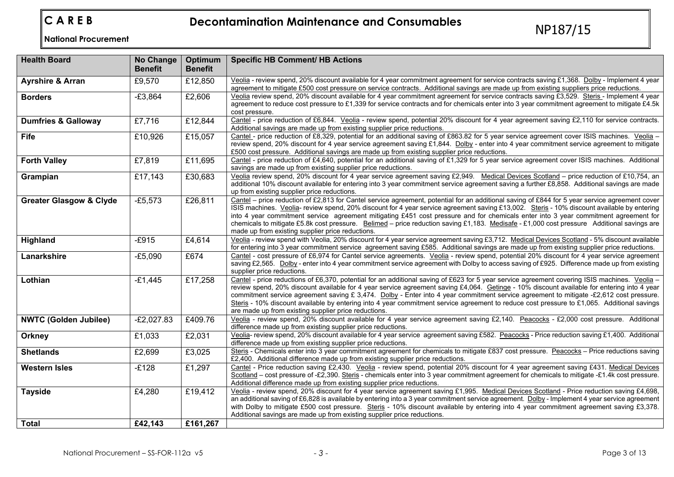**C A R E B Decontamination Maintenance and Consumables** NP187/15 **National Procurement** 

| <b>Health Board</b>                | <b>No Change</b><br><b>Benefit</b> | Optimum<br><b>Benefit</b> | <b>Specific HB Comment/ HB Actions</b>                                                                                                                                                                                                                                                                                                                                                                                                                                                                                                                                                                                                      |
|------------------------------------|------------------------------------|---------------------------|---------------------------------------------------------------------------------------------------------------------------------------------------------------------------------------------------------------------------------------------------------------------------------------------------------------------------------------------------------------------------------------------------------------------------------------------------------------------------------------------------------------------------------------------------------------------------------------------------------------------------------------------|
| <b>Ayrshire &amp; Arran</b>        | £9,570                             | £12,850                   | Veolia - review spend, 20% discount available for 4 year commitment agreement for service contracts saving £1,368. Dolby - Implement 4 year<br>agreement to mitigate £500 cost pressure on service contracts. Additional savings are made up from existing suppliers price reductions.                                                                                                                                                                                                                                                                                                                                                      |
| <b>Borders</b>                     | $-E3,864$                          | £2,606                    | Veolia review spend, 20% discount available for 4 year commitment agreement for service contracts saving £3,529. Steris - Implement 4 year<br>agreement to reduce cost pressure to £1,339 for service contracts and for chemicals enter into 3 year commitment agreement to mitigate £4.5k<br>cost pressure.                                                                                                                                                                                                                                                                                                                                |
| <b>Dumfries &amp; Galloway</b>     | £7,716                             | £12,844                   | Cantel - price reduction of £6,844. Veolia - review spend, potential 20% discount for 4 year agreement saving £2,110 for service contracts.<br>Additional savings are made up from existing supplier price reductions.                                                                                                                                                                                                                                                                                                                                                                                                                      |
| Fife                               | £10,926                            | £15,057                   | Cantel - price reduction of £8,329, potential for an additional saving of £863.82 for 5 year service agreement cover ISIS machines. Veolia -<br>review spend, 20% discount for 4 year service agreement saving £1,844. Dolby - enter into 4 year commitment service agreement to mitigate<br>£500 cost pressure. Additional savings are made up from existing supplier price reductions.                                                                                                                                                                                                                                                    |
| <b>Forth Valley</b>                | £7,819                             | £11,695                   | Cantel - price reduction of £4,640, potential for an additional saving of £1,329 for 5 year service agreement cover ISIS machines. Additional<br>savings are made up from existing supplier price reductions.                                                                                                                                                                                                                                                                                                                                                                                                                               |
| Grampian                           | £17,143                            | £30,683                   | Veolia review spend, 20% discount for 4 year service agreement saving £2,949. Medical Devices Scotland - price reduction of £10,754, an<br>additional 10% discount available for entering into 3 year commitment service agreement saving a further £8,858. Additional savings are made<br>up from existing supplier price reductions.                                                                                                                                                                                                                                                                                                      |
| <b>Greater Glasgow &amp; Clyde</b> | $-£5,573$                          | £26,811                   | Cantel – price reduction of £2,813 for Cantel service agreement, potential for an additional saving of £844 for 5 year service agreement cover<br>ISIS machines. Veolia- review spend, 20% discount for 4 year service agreement saving £13,002. Steris - 10% discount available by entering<br>into 4 year commitment service agreement mitigating £451 cost pressure and for chemicals enter into 3 year commitment agreement for<br>chemicals to mitigate £5.8k cost pressure. Belimed - price reduction saving £1,183. Medisafe - £1,000 cost pressure Additional savings are<br>made up from existing supplier price reductions.       |
| Highland                           | $-E915$                            | £4,614                    | Veolia - review spend with Veolia, 20% discount for 4 year service agreement saving £3,712. Medical Devices Scotland - 5% discount available<br>for entering into 3 year commitment service agreement saving £585. Additional savings are made up from existing supplier price reductions.                                                                                                                                                                                                                                                                                                                                                  |
| Lanarkshire                        | $-E5,090$                          | £674                      | Cantel - cost pressure of £6,974 for Cantel service agreements. Veolia - review spend, potential 20% discount for 4 year service agreement<br>saving £2,565. Dolby - enter into 4 year commitment service agreement with Dolby to access saving of £925. Difference made up from existing<br>supplier price reductions.                                                                                                                                                                                                                                                                                                                     |
| Lothian                            | $-£1,445$                          | £17,258                   | Cantel - price reductions of £6,370, potential for an additional saving of £623 for 5 year service agreement covering ISIS machines. Veolia -<br>review spend, 20% discount available for 4 year service agreement saving £4,064. Getinge - 10% discount available for entering into 4 year<br>commitment service agreement saving £ 3,474. Dolby - Enter into 4 year commitment service agreement to mitigate -£2,612 cost pressure.<br>Steris - 10% discount available by entering into 4 year commitment service agreement to reduce cost pressure to £1,065. Additional savings<br>are made up from existing supplier price reductions. |
| <b>NWTC (Golden Jubilee)</b>       | $-E2,027.83$                       | £409.76                   | Veolia - review spend, 20% discount available for 4 year service agreement saving £2,140. Peacocks - £2,000 cost pressure. Additional<br>difference made up from existing supplier price reductions.                                                                                                                                                                                                                                                                                                                                                                                                                                        |
| Orkney                             | £1,033                             | £2,031                    | Veolia- review spend, 20% discount available for 4 year service agreement saving £582. Peacocks - Price reduction saving £1,400. Additional<br>difference made up from existing supplier price reductions.                                                                                                                                                                                                                                                                                                                                                                                                                                  |
| <b>Shetlands</b>                   | £2,699                             | £3,025                    | Steris - Chemicals enter into 3 year commitment agreement for chemicals to mitigate £837 cost pressure. Peacocks - Price reductions saving<br>£2,400. Additional difference made up from existing supplier price reductions.                                                                                                                                                                                                                                                                                                                                                                                                                |
| <b>Western Isles</b>               | $-E128$                            | £1,297                    | Cantel - Price reduction saving £2,430. Veolia - review spend, potential 20% discount for 4 year agreement saving £431. Medical Devices<br>Scotland - cost pressure of -£2,390. Steris - chemicals enter into 3 year commitment agreement for chemicals to mitigate -£1.4k cost pressure.<br>Additional difference made up from existing supplier price reductions.                                                                                                                                                                                                                                                                         |
| <b>Tayside</b>                     | £4,280                             | £19,412                   | Veolia - review spend, 20% discount for 4 year service agreement saving £1,995. Medical Devices Scotland - Price reduction saving £4,698,<br>an additional saving of £6,828 is available by entering into a 3 year commitment service agreement. Dolby - Implement 4 year service agreement<br>with Dolby to mitigate £500 cost pressure. Steris - 10% discount available by entering into 4 year commitment agreement saving £3,378.<br>Additional savings are made up from existing supplier price reductions.                                                                                                                            |
| <b>Total</b>                       | £42,143                            | £161,267                  |                                                                                                                                                                                                                                                                                                                                                                                                                                                                                                                                                                                                                                             |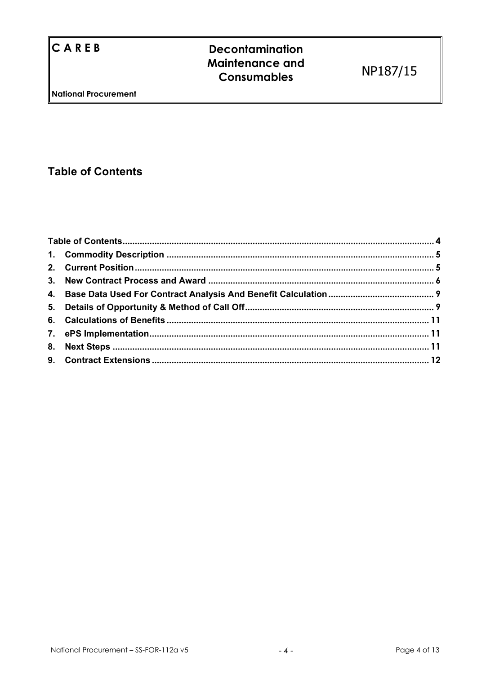## **Table of Contents**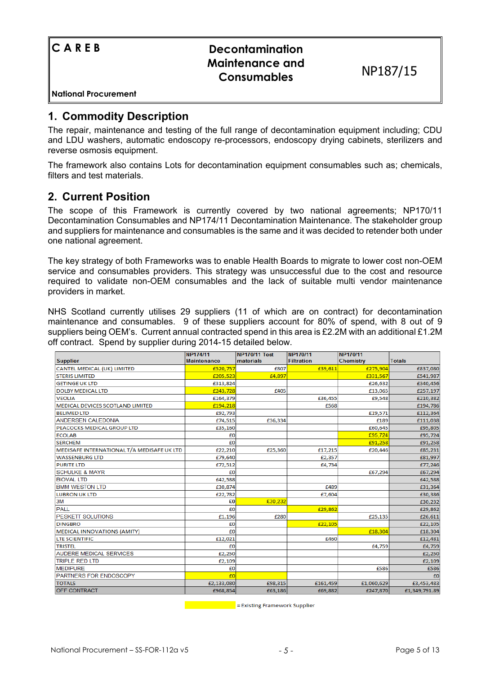| ICAREB               | <b>Decontamination</b><br><b>Maintenance and</b><br><b>Consumables</b> | NP187/15 |
|----------------------|------------------------------------------------------------------------|----------|
| National Procurement |                                                                        |          |

## **1. Commodity Description**

The repair, maintenance and testing of the full range of decontamination equipment including; CDU and LDU washers, automatic endoscopy re-processors, endoscopy drying cabinets, sterilizers and reverse osmosis equipment.

The framework also contains Lots for decontamination equipment consumables such as; chemicals, filters and test materials.

## **2. Current Position**

The scope of this Framework is currently covered by two national agreements; NP170/11 Decontamination Consumables and NP174/11 Decontamination Maintenance. The stakeholder group and suppliers for maintenance and consumables is the same and it was decided to retender both under one national agreement.

The key strategy of both Frameworks was to enable Health Boards to migrate to lower cost non-OEM service and consumables providers. This strategy was unsuccessful due to the cost and resource required to validate non-OEM consumables and the lack of suitable multi vendor maintenance providers in market.

NHS Scotland currently utilises 29 suppliers (11 of which are on contract) for decontamination maintenance and consumables. 9 of these suppliers account for 80% of spend, with 8 out of 9 suppliers being OEM's. Current annual contracted spend in this area is £2.2M with an additional £1.2M off contract. Spend by supplier during 2014-15 detailed below.

|                                            | NP174/11           | <b>NP170/11 Test</b> | NP170/11          | NP170/11         |               |
|--------------------------------------------|--------------------|----------------------|-------------------|------------------|---------------|
| <b>Supplier</b>                            | <b>Maintenance</b> | materials            | <b>Filtration</b> | <b>Chemistry</b> | <b>Totals</b> |
| CANTEL MEDICAL (UK) LIMITED                | £520,757           | £807                 | £39,611           | £275,904         | £837,080      |
| <b>STERIS LIMITED</b>                      | £205,523           | £4,897               |                   | £331,567         | £541,987      |
| <b>GETINGE UK LTD</b>                      | £313,824           |                      |                   | £26,632          | £340,456      |
| <b>DOLBY MEDICAL LTD</b>                   | £243,728           | £405                 |                   | £13,065          | £257,197      |
| <b>VEOLIA</b>                              | £164,379           |                      | £36,455           | £9,548           | £210,382      |
| MEDICAL DEVICES SCOTLAND LIMITED           | £194,218           |                      | £568              |                  | £194,786      |
| <b>BELIMED LTD</b>                         | £92,793            |                      |                   | £19,571          | £112,364      |
| <b>ANDERSEN CALEDONIA</b>                  | £74,515            | £36,334              |                   | £189             | £111,038      |
| PEACOCKS MEDICAL GROUP LTD                 | £35,160            |                      |                   | £60,645          | £95,805       |
| <b>ECOLAB</b>                              | £0                 |                      |                   | £95,724          | £95,724       |
| <b>SERCHEM</b>                             | £0                 |                      |                   | £91,258          | £91,258       |
| MEDISAFE INTERNATIONAL T/A MEDISAFE UK LTD | £22,210            | £25,360              | £17,215           | £20,446          | £85,231       |
| <b>WASSENBURG LTD</b>                      | £79,640            |                      | £2,357            |                  | £81,997       |
| <b>PURITE LTD</b>                          | £72,512            |                      | £4,734            |                  | £77,246       |
| <b>SCHULKE &amp; MAYR</b>                  | £0                 |                      |                   | £67,294          | £67,294       |
| <b>BIOVAL LTD</b>                          | £42,588            |                      |                   |                  | £42,588       |
| <b>BMM WESTON LTD</b>                      | £30,874            |                      | £489              |                  | £31,364       |
| LUBRON UK LTD                              | £22,782            |                      | £7,604            |                  | £30,386       |
| 3M                                         | £O                 | £30,232              |                   |                  | £30,232       |
| <b>PALL</b>                                | £0                 |                      | £29,862           |                  | £29,862       |
| PESKETT SOLUTIONS                          | £1,196             | £280                 |                   | £25,135          | £26,611       |
| <b>DINGBRO</b>                             | £0                 |                      | £22,105           |                  | £22,105       |
| <b>MEDICAL INNOVATIONS (AMITY)</b>         | £0                 |                      |                   | £18,304          | £18,304       |
| <b>LTE SCIENTIFIC</b>                      | £12,021            |                      | £460              |                  | £12,481       |
| <b>TRISTEL</b>                             | £0                 |                      |                   | £4,759           | £4,759        |
| <b>AUDERE MEDICAL SERVICES</b>             | £2,250             |                      |                   |                  | £2,250        |
| <b>TRIPLE RED LTD</b>                      | £2,109             |                      |                   |                  | £2,109        |
| <b>MEDIPURE</b>                            | £0                 |                      |                   | £586             | £586          |
| <b>PARTNERS FOR ENDOSCOPY</b>              | f(0)               |                      |                   |                  | f(0)          |
| <b>TOTALS</b>                              | £2,133,080         | £98,315              | £161,459          | £1,060,629       | £3,453,483    |
| <b>OFF CONTRACT</b>                        | £968,854           | £63,186              | £69,882           | £247,870         | £1,349,791.89 |

**Example 2016** Existing Framework Supplier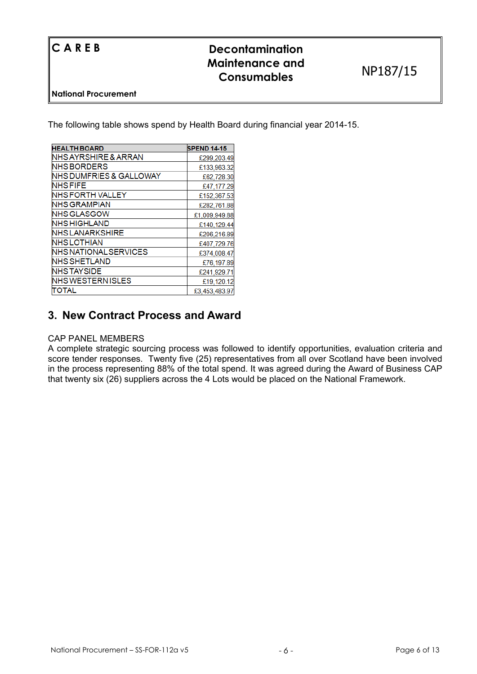| <b>ICAREB</b>        | <b>Decontamination</b><br>Maintenance and<br><b>Consumables</b> | NP187/15 |
|----------------------|-----------------------------------------------------------------|----------|
| National Procurement |                                                                 |          |

The following table shows spend by Health Board during financial year 2014-15.

| <b>HEALTH BOARD</b>          | <b>SPEND 14-15</b> |
|------------------------------|--------------------|
| NHS AYRSHIRE & ARRAN         | £299,203.49        |
| NHS BORDERS                  | £133,963.32        |
| NHS DUMFRIES & GALLOWAY      | £62,728.30         |
| <b>NHS FIFE</b>              | £47,177.29         |
| NHS FORTH VALLEY             | £152,367.53        |
| NHS GRAMPIAN                 | £282,761.88        |
| <b>NHS GLASGOW</b>           | £1,009,949.88      |
| NHS HIGHLAND                 | £140,129.44        |
| <b>NHS LANARKSHIRE</b>       | £206,216.89        |
| NHS LOTHIAN                  | £407,729.76        |
| <b>NHS NATIONAL SERVICES</b> | £374,008.47        |
| NHS SHETLAND                 | £76,197.89         |
| <b>NHS TAYSIDE</b>           | £241,929.71        |
| NHS WESTERN ISLES            | £19,120.12         |
| TOTAL                        | £3,453,483.97      |

## **3. New Contract Process and Award**

### CAP PANEL MEMBERS

A complete strategic sourcing process was followed to identify opportunities, evaluation criteria and score tender responses. Twenty five (25) representatives from all over Scotland have been involved in the process representing 88% of the total spend. It was agreed during the Award of Business CAP that twenty six (26) suppliers across the 4 Lots would be placed on the National Framework.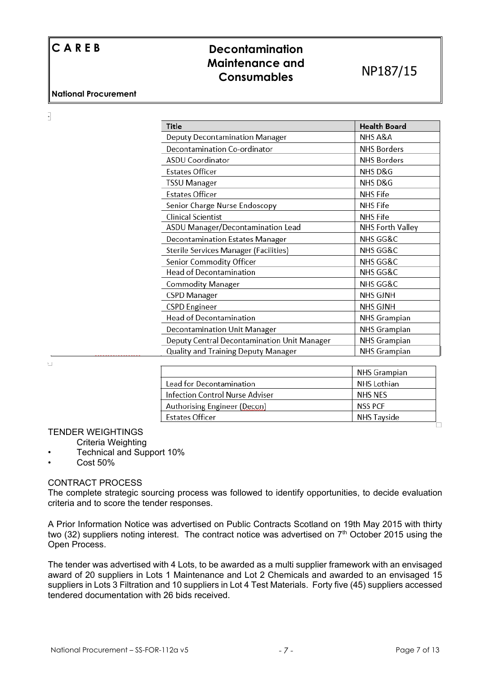$\overline{\cdot}$ 

## **C A R E B Decontamination Maintenance and Consumables** NP187/15

| Title                                        | <b>Health Board</b> |
|----------------------------------------------|---------------------|
| <b>Deputy Decontamination Manager</b>        | NHS A&A             |
| Decontamination Co-ordinator                 | <b>NHS Borders</b>  |
| <b>ASDU Coordinator</b>                      | <b>NHS Borders</b>  |
| <b>Estates Officer</b>                       | NHS D&G             |
| TSSU Manager                                 | NHS D&G             |
| <b>Estates Officer</b>                       | <b>NHS Fife</b>     |
| Senior Charge Nurse Endoscopy                | <b>NHS Fife</b>     |
| <b>Clinical Scientist</b>                    | <b>NHS Fife</b>     |
| ASDU Manager/Decontamination Lead            | NHS Forth Valley    |
| <b>Decontamination Estates Manager</b>       | NHS GG&C            |
| <b>Sterile Services Manager (Facilities)</b> | NHS GG&C            |
| Senior Commodity Officer                     | NHS GG&C            |
| <b>Head of Decontamination</b>               | NHS GG&C            |
| <b>Commodity Manager</b>                     | NHS GG&C            |
| <b>CSPD Manager</b>                          | <b>NHS GJNH</b>     |
| <b>CSPD</b> Engineer                         | NHS GJNH            |
| <b>Head of Decontamination</b>               | <b>NHS Grampian</b> |
| Decontamination Unit Manager                 | <b>NHS Grampian</b> |
| Deputy Central Decontamination Unit Manager  | <b>NHS Grampian</b> |
| Quality and Training Deputy Manager          | <b>NHS Grampian</b> |

 $\mathbf{L}$ 

|                                 | <b>NHS Grampian</b> |
|---------------------------------|---------------------|
| Lead for Decontamination        | NHS Lothian         |
| Infection Control Nurse Adviser | NHS NES             |
| Authorising Engineer (Decon)    | <b>NSS PCF</b>      |
| <b>Estates Officer</b>          | <b>NHS Tayside</b>  |
|                                 |                     |

### TENDER WEIGHTINGS

Criteria Weighting

- Technical and Support 10%
- Cost 50%

## CONTRACT PROCESS

The complete strategic sourcing process was followed to identify opportunities, to decide evaluation criteria and to score the tender responses.

A Prior Information Notice was advertised on Public Contracts Scotland on 19th May 2015 with thirty two (32) suppliers noting interest. The contract notice was advertised on  $7<sup>th</sup>$  October 2015 using the Open Process.

The tender was advertised with 4 Lots, to be awarded as a multi supplier framework with an envisaged award of 20 suppliers in Lots 1 Maintenance and Lot 2 Chemicals and awarded to an envisaged 15 suppliers in Lots 3 Filtration and 10 suppliers in Lot 4 Test Materials. Forty five (45) suppliers accessed tendered documentation with 26 bids received.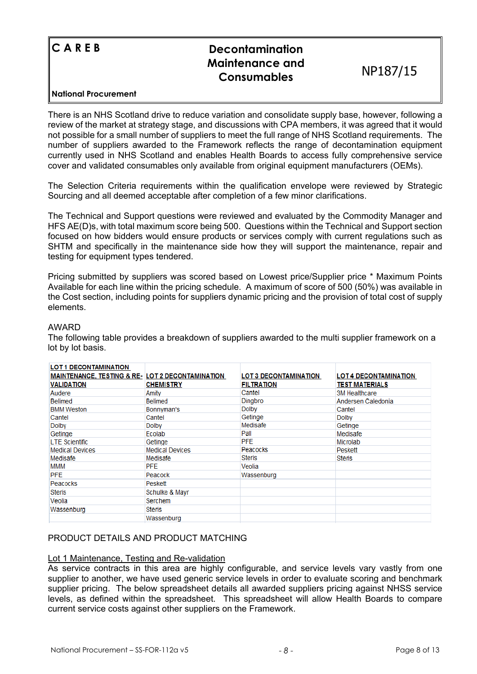| $C$ A R E B          | <b>Decontamination</b><br>Maintenance and<br><b>Consumables</b> | NP187/15 |
|----------------------|-----------------------------------------------------------------|----------|
| National Procurement |                                                                 |          |

There is an NHS Scotland drive to reduce variation and consolidate supply base, however, following a review of the market at strategy stage, and discussions with CPA members, it was agreed that it would not possible for a small number of suppliers to meet the full range of NHS Scotland requirements. The number of suppliers awarded to the Framework reflects the range of decontamination equipment currently used in NHS Scotland and enables Health Boards to access fully comprehensive service cover and validated consumables only available from original equipment manufacturers (OEMs).

The Selection Criteria requirements within the qualification envelope were reviewed by Strategic Sourcing and all deemed acceptable after completion of a few minor clarifications.

The Technical and Support questions were reviewed and evaluated by the Commodity Manager and HFS AE(D)s, with total maximum score being 500. Questions within the Technical and Support section focused on how bidders would ensure products or services comply with current regulations such as SHTM and specifically in the maintenance side how they will support the maintenance, repair and testing for equipment types tendered.

Pricing submitted by suppliers was scored based on Lowest price/Supplier price \* Maximum Points Available for each line within the pricing schedule. A maximum of score of 500 (50%) was available in the Cost section, including points for suppliers dynamic pricing and the provision of total cost of supply elements.

#### AWARD

The following table provides a breakdown of suppliers awarded to the multi supplier framework on a lot by lot basis.

| <b>LOT 1 DECONTAMINATION</b><br><b>MAINTENANCE, TESTING &amp; RE- LOT 2 DECONTAMINATION</b> |                        | <b>LOT 3 DECONTAMINATION</b> | <b>LOT 4 DECONTAMINATION</b> |
|---------------------------------------------------------------------------------------------|------------------------|------------------------------|------------------------------|
| <b>VALIDATION</b>                                                                           | <b>CHEMISTRY</b>       | <b>FILTRATION</b>            | <b>TEST MATERIALS</b>        |
| Audere                                                                                      | Amity                  | Cantel                       | 3M Healthcare                |
| <b>Belimed</b>                                                                              | <b>Belimed</b>         | Dingbro                      | Andersen Caledonia           |
| <b>BMM Weston</b>                                                                           | Bonnyman's             | Dolby                        | Cantel                       |
| Cantel                                                                                      | Cantel                 | Getinge                      | <b>Dolby</b>                 |
| <b>Dolby</b>                                                                                | <b>Dolby</b>           | Medisafe                     | Getinge                      |
| Getinge                                                                                     | Ecolab                 | Pall                         | Medisafe                     |
| <b>LTE Scientific</b>                                                                       | Getinge                | <b>PFE</b>                   | Microlab                     |
| <b>Medical Devices</b>                                                                      | <b>Medical Devices</b> | Peacocks                     | Peskett                      |
| Medisafe                                                                                    | Medisafe               | <b>Steris</b>                | Steris                       |
| MMM                                                                                         | <b>PFE</b>             | Veolia                       |                              |
| <b>PFE</b>                                                                                  | Peacock                | Wassenburg                   |                              |
| Peacocks                                                                                    | Peskett                |                              |                              |
| <b>Steris</b>                                                                               | Schulke & Mayr         |                              |                              |
| Veolia                                                                                      | Serchem                |                              |                              |
| Wassenburg                                                                                  | Steris                 |                              |                              |
|                                                                                             | Wassenburg             |                              |                              |

## PRODUCT DETAILS AND PRODUCT MATCHING

#### Lot 1 Maintenance, Testing and Re-validation

As service contracts in this area are highly configurable, and service levels vary vastly from one supplier to another, we have used generic service levels in order to evaluate scoring and benchmark supplier pricing. The below spreadsheet details all awarded suppliers pricing against NHSS service levels, as defined within the spreadsheet. This spreadsheet will allow Health Boards to compare current service costs against other suppliers on the Framework.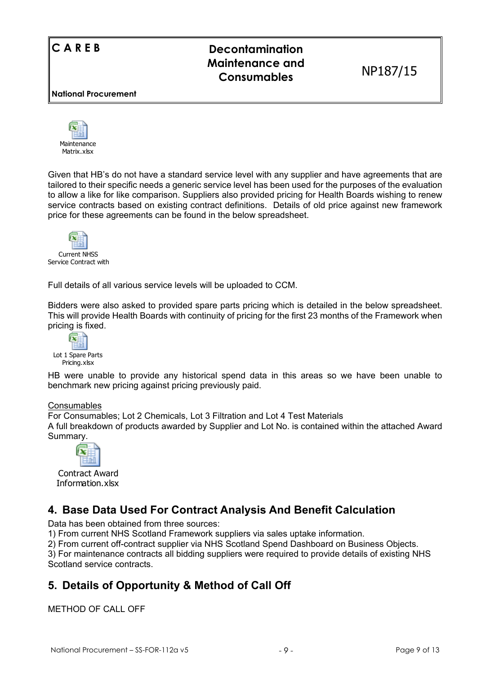## **C A R E B Decontamination Maintenance and Consumables** NP187/15

**National Procurement** 



Given that HB's do not have a standard service level with any supplier and have agreements that are tailored to their specific needs a generic service level has been used for the purposes of the evaluation to allow a like for like comparison. Suppliers also provided pricing for Health Boards wishing to renew service contracts based on existing contract definitions. Details of old price against new framework price for these agreements can be found in the below spreadsheet.



Full details of all various service levels will be uploaded to CCM.

Bidders were also asked to provided spare parts pricing which is detailed in the below spreadsheet. This will provide Health Boards with continuity of pricing for the first 23 months of the Framework when pricing is fixed.



HB were unable to provide any historical spend data in this areas so we have been unable to benchmark new pricing against pricing previously paid.

## Consumables

For Consumables; Lot 2 Chemicals, Lot 3 Filtration and Lot 4 Test Materials A full breakdown of products awarded by Supplier and Lot No. is contained within the attached Award Summary.



Contract Award Information.xlsx

## **4. Base Data Used For Contract Analysis And Benefit Calculation**

Data has been obtained from three sources:

1) From current NHS Scotland Framework suppliers via sales uptake information.

2) From current off-contract supplier via NHS Scotland Spend Dashboard on Business Objects.

3) For maintenance contracts all bidding suppliers were required to provide details of existing NHS Scotland service contracts.

## **5. Details of Opportunity & Method of Call Off**

METHOD OF CALL OFF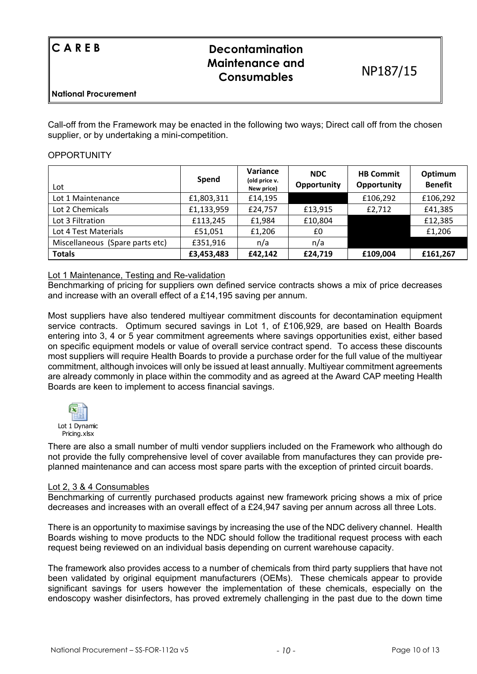| ICAREB               | <b>Decontamination</b><br><b>Maintenance and</b><br><b>Consumables</b> | NP187/15 |  |
|----------------------|------------------------------------------------------------------------|----------|--|
| National Procurement |                                                                        |          |  |

Call-off from the Framework may be enacted in the following two ways; Direct call off from the chosen supplier, or by undertaking a mini-competition.

#### **OPPORTUNITY**

| Lot                             | Spend      | Variance<br>(old price v.<br>New price) | <b>NDC</b><br>Opportunity | <b>HB Commit</b><br>Opportunity | Optimum<br><b>Benefit</b> |
|---------------------------------|------------|-----------------------------------------|---------------------------|---------------------------------|---------------------------|
| Lot 1 Maintenance               | £1,803,311 | £14,195                                 |                           | £106,292                        | £106,292                  |
| Lot 2 Chemicals                 | £1,133,959 | £24,757                                 | £13,915                   | £2,712                          | £41,385                   |
| Lot 3 Filtration                | £113,245   | £1,984                                  | £10,804                   |                                 | £12,385                   |
| Lot 4 Test Materials            | £51,051    | £1,206                                  | £0                        |                                 | £1,206                    |
| Miscellaneous (Spare parts etc) | £351,916   | n/a                                     | n/a                       |                                 |                           |
| <b>Totals</b>                   | £3,453,483 | £42,142                                 | £24,719                   | £109,004                        | £161,267                  |

#### Lot 1 Maintenance, Testing and Re-validation

Benchmarking of pricing for suppliers own defined service contracts shows a mix of price decreases and increase with an overall effect of a £14,195 saving per annum.

Most suppliers have also tendered multiyear commitment discounts for decontamination equipment service contracts. Optimum secured savings in Lot 1, of £106,929, are based on Health Boards entering into 3, 4 or 5 year commitment agreements where savings opportunities exist, either based on specific equipment models or value of overall service contract spend. To access these discounts most suppliers will require Health Boards to provide a purchase order for the full value of the multiyear commitment, although invoices will only be issued at least annually. Multiyear commitment agreements are already commonly in place within the commodity and as agreed at the Award CAP meeting Health Boards are keen to implement to access financial savings.



There are also a small number of multi vendor suppliers included on the Framework who although do not provide the fully comprehensive level of cover available from manufactures they can provide preplanned maintenance and can access most spare parts with the exception of printed circuit boards.

#### Lot 2, 3 & 4 Consumables

Benchmarking of currently purchased products against new framework pricing shows a mix of price decreases and increases with an overall effect of a £24,947 saving per annum across all three Lots.

There is an opportunity to maximise savings by increasing the use of the NDC delivery channel. Health Boards wishing to move products to the NDC should follow the traditional request process with each request being reviewed on an individual basis depending on current warehouse capacity.

The framework also provides access to a number of chemicals from third party suppliers that have not been validated by original equipment manufacturers (OEMs). These chemicals appear to provide significant savings for users however the implementation of these chemicals, especially on the endoscopy washer disinfectors, has proved extremely challenging in the past due to the down time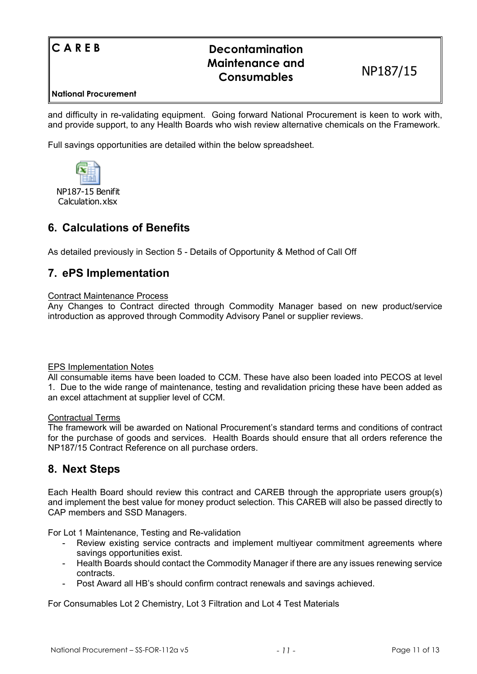| ICAREB               | <b>Decontamination</b><br><b>Maintenance and</b><br><b>Consumables</b> | NP187/15 |
|----------------------|------------------------------------------------------------------------|----------|
| National Procurement |                                                                        |          |

and difficulty in re-validating equipment. Going forward National Procurement is keen to work with, and provide support, to any Health Boards who wish review alternative chemicals on the Framework.

Full savings opportunities are detailed within the below spreadsheet.



## **6. Calculations of Benefits**

As detailed previously in Section 5 - Details of Opportunity & Method of Call Off

## **7. ePS Implementation**

#### Contract Maintenance Process

Any Changes to Contract directed through Commodity Manager based on new product/service introduction as approved through Commodity Advisory Panel or supplier reviews.

#### EPS Implementation Notes

All consumable items have been loaded to CCM. These have also been loaded into PECOS at level 1. Due to the wide range of maintenance, testing and revalidation pricing these have been added as an excel attachment at supplier level of CCM.

#### Contractual Terms

The framework will be awarded on National Procurement's standard terms and conditions of contract for the purchase of goods and services. Health Boards should ensure that all orders reference the NP187/15 Contract Reference on all purchase orders.

## **8. Next Steps**

Each Health Board should review this contract and CAREB through the appropriate users group(s) and implement the best value for money product selection. This CAREB will also be passed directly to CAP members and SSD Managers.

For Lot 1 Maintenance, Testing and Re-validation

- Review existing service contracts and implement multiyear commitment agreements where savings opportunities exist.
- Health Boards should contact the Commodity Manager if there are any issues renewing service contracts.
- Post Award all HB's should confirm contract renewals and savings achieved.

For Consumables Lot 2 Chemistry, Lot 3 Filtration and Lot 4 Test Materials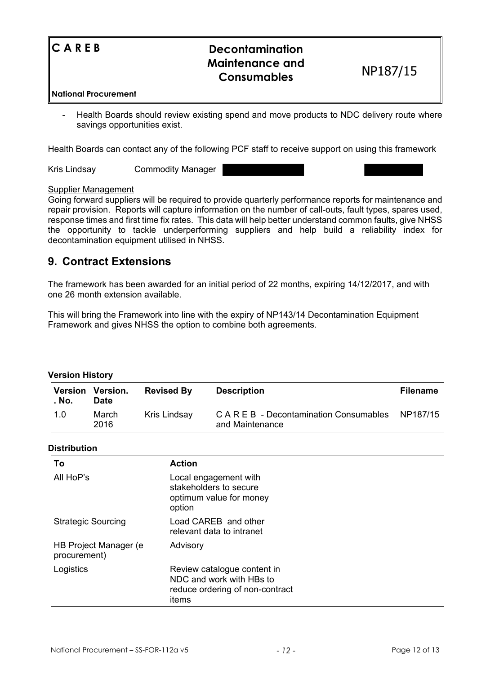| $\mathbb{C}$ A R E B | <b>Decontamination</b><br><b>Maintenance and</b><br><b>Consumables</b> | NP187/15 |
|----------------------|------------------------------------------------------------------------|----------|
| National Procurement |                                                                        |          |

- Health Boards should review existing spend and move products to NDC delivery route where savings opportunities exist.

Health Boards can contact any of the following PCF staff to receive support on using this framework

Kris Lindsay Commodity Manager

#### Supplier Management

Going forward suppliers will be required to provide quarterly performance reports for maintenance and repair provision. Reports will capture information on the number of call-outs, fault types, spares used, response times and first time fix rates. This data will help better understand common faults, give NHSS the opportunity to tackle underperforming suppliers and help build a reliability index for decontamination equipment utilised in NHSS.

## **9. Contract Extensions**

The framework has been awarded for an initial period of 22 months, expiring 14/12/2017, and with one 26 month extension available.

This will bring the Framework into line with the expiry of NP143/14 Decontamination Equipment Framework and gives NHSS the option to combine both agreements.

## **Version History**

| Version<br>. No. | Version.<br><b>Date</b> | <b>Revised By</b> | <b>Description</b>                                                  | <b>Filename</b> |
|------------------|-------------------------|-------------------|---------------------------------------------------------------------|-----------------|
| 1.0              | March<br>2016           | Kris Lindsay      | $C \wedge R \in B$ - Decontamination Consumables<br>and Maintenance | NP187/15        |

#### **Distribution**

| Тο                                     | <b>Action</b>                                                                                       |  |
|----------------------------------------|-----------------------------------------------------------------------------------------------------|--|
| All HoP's                              | Local engagement with<br>stakeholders to secure<br>optimum value for money<br>option                |  |
| <b>Strategic Sourcing</b>              | Load CAREB and other<br>relevant data to intranet                                                   |  |
| HB Project Manager (e)<br>procurement) | Advisory                                                                                            |  |
| Logistics                              | Review catalogue content in<br>NDC and work with HBs to<br>reduce ordering of non-contract<br>items |  |